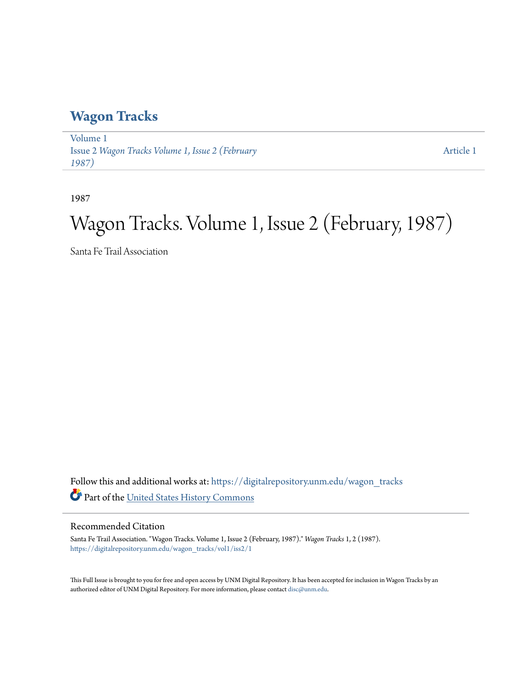## **[Wagon Tracks](https://digitalrepository.unm.edu/wagon_tracks?utm_source=digitalrepository.unm.edu%2Fwagon_tracks%2Fvol1%2Fiss2%2F1&utm_medium=PDF&utm_campaign=PDFCoverPages)**

[Volume 1](https://digitalrepository.unm.edu/wagon_tracks/vol1?utm_source=digitalrepository.unm.edu%2Fwagon_tracks%2Fvol1%2Fiss2%2F1&utm_medium=PDF&utm_campaign=PDFCoverPages) Issue 2 *[Wagon Tracks Volume 1, Issue 2 \(February](https://digitalrepository.unm.edu/wagon_tracks/vol1/iss2?utm_source=digitalrepository.unm.edu%2Fwagon_tracks%2Fvol1%2Fiss2%2F1&utm_medium=PDF&utm_campaign=PDFCoverPages) [1987\)](https://digitalrepository.unm.edu/wagon_tracks/vol1/iss2?utm_source=digitalrepository.unm.edu%2Fwagon_tracks%2Fvol1%2Fiss2%2F1&utm_medium=PDF&utm_campaign=PDFCoverPages)*

[Article 1](https://digitalrepository.unm.edu/wagon_tracks/vol1/iss2/1?utm_source=digitalrepository.unm.edu%2Fwagon_tracks%2Fvol1%2Fiss2%2F1&utm_medium=PDF&utm_campaign=PDFCoverPages)

1987

# Wagon Tracks. Volume 1, Issue 2 (February, 1987)

Santa Fe Trail Association

Follow this and additional works at: [https://digitalrepository.unm.edu/wagon\\_tracks](https://digitalrepository.unm.edu/wagon_tracks?utm_source=digitalrepository.unm.edu%2Fwagon_tracks%2Fvol1%2Fiss2%2F1&utm_medium=PDF&utm_campaign=PDFCoverPages) Part of the [United States History Commons](http://network.bepress.com/hgg/discipline/495?utm_source=digitalrepository.unm.edu%2Fwagon_tracks%2Fvol1%2Fiss2%2F1&utm_medium=PDF&utm_campaign=PDFCoverPages)

#### Recommended Citation

Santa Fe Trail Association. "Wagon Tracks. Volume 1, Issue 2 (February, 1987)." *Wagon Tracks* 1, 2 (1987). [https://digitalrepository.unm.edu/wagon\\_tracks/vol1/iss2/1](https://digitalrepository.unm.edu/wagon_tracks/vol1/iss2/1?utm_source=digitalrepository.unm.edu%2Fwagon_tracks%2Fvol1%2Fiss2%2F1&utm_medium=PDF&utm_campaign=PDFCoverPages)

This Full Issue is brought to you for free and open access by UNM Digital Repository. It has been accepted for inclusion in Wagon Tracks by an authorized editor of UNM Digital Repository. For more information, please contact [disc@unm.edu.](mailto:disc@unm.edu)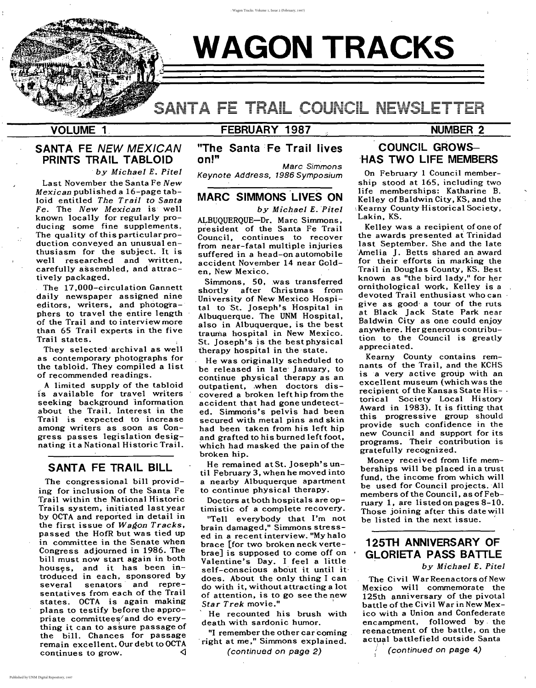# **WAGON TRACKS**

# SANTA FE TRAIL COUNK

# **VOLUME 1,**

\ \ l  $\cdot$  . :r':

> The Civil War Reenactors of New Mexico will commemorate the 125th anniversary of the pivotal battle of the Civil War in New Mexico with a Union and Confederate encampment. followed by, the reenactment of the battle, on the actual battlefield outside Santa

(continued on page 4)

# **FEBRUARY 1987** :;

# . **NUMBER 2**

# **125TH ANNIVERSARY OF GLORIETA PASS BATTLE**

*by* MiChael E. PiteI

## **COUNCIL GROWS-** -HAS **TWO LIFE MEMBERS**

Kearny County contains remnants of the Trail, and the KCHS is a very active group with an excellent museum (which was the recipient of the Kansas State His- torical Society Local History Award in 1983). It is fitting that this progressive group should provide such confidence in the new Council and support for its programs. Their contribution is gratefully recognized. Money received from life memberships will be placed in a trust fund, the income from which will be used for Council projects. All members of the Council, as of February I, are listed on pages 8-10. Those joining after this date will be listed in the next issue.

On February 1 Council membership stood at 165, including two life memberships: Katharine B. Kelley of Baldwin City, KS. and the \Kearny County Historical Society. Lakin, KS.

Marc Simmons Keynote Address, 1986 Symposium

> Kelley was a recipient of one of the awards presented at Trinidad last September. She and the late 'Amelia J. Betts shared an award for their efforts in marking the Trail in Douglas County, KS. Best known as "the bird lady," for her ornithological work, Kelley is a devoted Trail enthusiast who can give as good' a tour of the ruts at Black Jack State Park near Baldwin City as one could enjoy anywhere. Her generous contribution to, the Council is greatly appreciated.

ALBUQUERQUE-Dr. Marc Simmons, president of the Santa Fe Trail Council, continues to recover from near-fatal multiple injuries suffered in a head-on automobile accident November 14 near Golden, New Mexico.

"Tell everybody that I'm not brain damaged," Simmons stressed in a recent interview. "My halo brace [for two broken neck vertebrae] is supposed to come off on . Valentine's Day. I feel a little self-conscious about it until it· does. About the only thing I can do with it, without attracting a lot of attention, is to go see the new Star Trek movie."

"I remember the other car coming , right at me," Simmons explained.

**"The Santa Fe Trail lives on!"**

The congressional bill providing for inclusion of the Santa Fe Trail within the National Historic Trails system, initiated last year by OCTA and reported in detail in the first issue of Wagon Tracks, passed the HofR but was tied up in committee in the Senate when Congress adjourned in 1986. The bill must now start again in both houses, and it has been introduced in each, sponsored by several senators' and representatives from each of the Trail states. OCTA is again making plans to testify before the appropriate committees/ and do everything it can to assure passage of the bill. Chances for passage remain excellent. Our debt to OCTA continues to grow.  $\triangleleft$  *by* Michael E. Pitel

Simmons, 50. was transferred shortly after Christmas from University of New Mexico Hospital to St. Joseph's Hospital in Albuquerque. The UNM Hospital, also in Albuquerque, is the best trauma hospital in New Mexico. St. Joseph's is the best physical therapy hospital in the state.

He was originally scheduled to be released in late' January, to continue physical therapy as an outpatient, .when doctors discovered a broken left hip from the accident that had gone undetected. Simmons's pelvis had been secured with metal pins and skin had been taken from his left hip and grafted to his burned left foot, which had masked the pain of the broken hip.

He remained atSt. Joseph'suntil February 3, when he moved into a nearby Albuquerque apartment to continue physical therapy.

Doctors at both hospitals are optimistic of a complete recovery.

. He recounted his brush with death with sardonic humor.

(continued on page 2)

## . . **MARC SIMMONS LIVES ON**

## **SANTA FE TRAIL BILL**

## **SANTA FE** NEW MEXICAN **PRINTS TRAIL TABLOID**

*, by* Michael E. Pitel

Last November the Santa Fe New Mexican published a 16-page tabloid entitled The Trail to Santa Fe. The New Mexican is well known locally for regularly producing some fine supplements. The quality of this particular production conveyed an unusual enthusiasm for the subject. It is well researched and written, carefully assembled, and' attractively packaged.

, The 17,OOO-circulation Gannett daily newspaper assigned nine editors, writers, and photographers to travel the entire length of the Trail and to interview more than 65 Trail experts in the five Trail states.

They selected' archival as well as contemporary photographs for the tabloid. They compiled a list of recommended readings.

A limited supply of the tabloid is available for travel writers seeking background information about the Trail. Interest in the Trail is expected to increase among writers as .soon as Congress passes legislation designating it <sup>a</sup> National Historic Trail.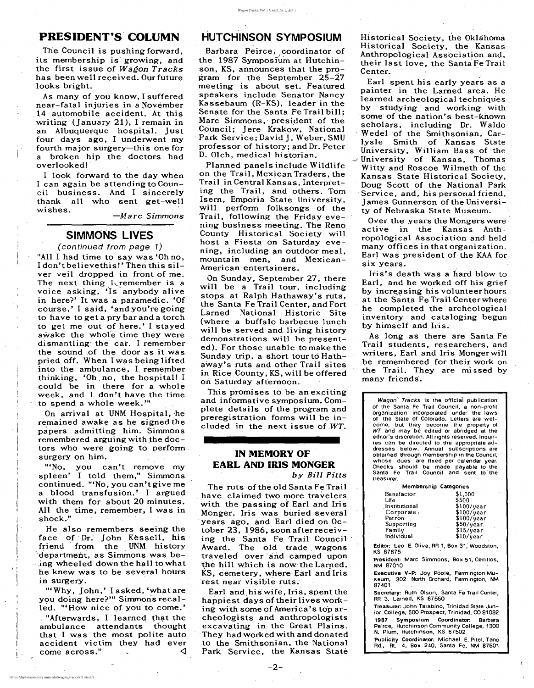I I

 $\int\limits_{-\infty}^{\infty}$ , I  $, \, \cdot \,$ ا<br>,

> , ,<br>,

I

## **PRESIDENT'S' COLUMN**

The Council is pushing forward, its membership is' growing, and the first issue of *Wagon Tracks* has been well received. Our future looks bright.

I look forward to the day when I can again be attending to Council business. And I sincerely thank all who sent get-well

 $-Marc$  *Simmons* 

As many of you know, I suffered near-fatal injuries in a November 14 automobile accident. At this writing (January 21), I remain in an Albuquerque hospital. Just four days ago, I underwent my fourth major surgery-this one for a broken hip the doctors had overlooked! '

# **SIMMONS LIVES**

(continued from page 1) "All I had time to say was 'Oh no, I don't believe this!' Then this silver veil dropped in front of me. The next thing I remember is a voice asking, 'Is' anybody alive in here?' It was <sup>a</sup> paramedic. 'Of course,' I said, 'andyou'regoing to have to get a pry bar and a torch to get me out of here.' I stayed awake the whole time they were dismantling' the car. I remember the sound of the door as it was pried off. When I was being lifted into the ambulance, L remember thinking, 'Oh, no, the hospital! I could be in there for a whole

## $\sqrt{1 - \left( \frac{1}{2} \right)^2 + \left( \frac{1}{2} \right)^2}$ **HUTCHINSON SYMPOSIUM**

week, and I don't have the time to spend a, whole week.'"

On arrival at UNM Hospital, he remained awake as he signed the papers admitting him. Simmons remembered arguing with the doctors who were going to perform, surgery on him.

"'No, you can't remove my spleen' I told them," Simmons continued. "'No, you can't give me a blood transfusion.' I argued with them for about 20 minutes. All the time, remember, I was in shock.",

, This promises to be an exciting and informative symposium. Complete details of the program and preregistration forms will be included in the next issue of  $WT$ .

He also remembers seeing the face of' Dr: John Kessell, his friend from the UNM history 'department, as Simmons was be-, ing wheeled down the hall to what he knew was to be several hours in surgery.

" Why, John,' I asked, 'what are you doing here?'" Simmons recalled. '''How nice of you to come.' . "Afterwards, I learned that the ambulance attendants thought that I was the most polite auto accident victim they had ever  $\zeta$  come across."

, , Historical Society, the Oklahoma Historical Society, the Kansas their last love, the Santa Fe Trail Center.

Barbara Peirce, coordinator of the 1987 Symposium at Hutchinson, KS, announces that the program for the September 25-27 meeting is about set. Featured speakers include Senator Nancy Kassebaum (R-KS), leader'in the Senate for the Santa Fe Trail bill; Marc Simmons,' president of the Council; Jere Krakow, National Park Service; David J. Weber, SMU professor of history; and Dr. Peter D. Olch, medical historian.

> Over the years the Mongers were active in the Kansas Anthropological Association and held many offices in that organization. Earl was president of the KAA for six years.

> Iris's death was a hard blow to Earl, and he worked off his grief by increasing his volunteer hours at the Santa Fe Trail Centerwhere he completed the archeological inventory and cataloging begun by himself and Iris.

Planned panels include Wildlife on the Trail, Mexican Traders, the Trail in Central Kansas, Interpret ing the Trail, and others. Tom Isern, Emporia State University, will perform folksongs of the Trail, following the Friday evening business meeting. The Reno County Historical Society will host a Fiesta on Saturday evening, including an outdoor meal, mountain men, and Mexican-American entertainers.

> Wagon' Tracks is the official publication of the Santa Fe Trail Council, a non-profit organization incorporated under the laws of the State of Colorado. Letters are welcome, but they become the property of 'WT and may be edited or abridged at the editor's discretion, All rights reserved. Inquiries can be directed to the appropriate ad-' dresses below. Annual subscriptions are obtained through membership in the Council, whose dues are fixed per calendar year. Checks should be made payable to the Santa Fe Trail Council and sent to' the **treasurer.**

> President: Marc Simmons, Box 51, Cerrillos, **NM 87010**

On Sunday, September 27, there will be a Trail tour, including stops at Ralph Hathaway's ruts, the Santa Fe Trail Center, and Fort Larned National Historic Site (where a buffalo barbecue lunch will be served and living history demonstrations will be presented). For those unable to make the Sunday trip, a short tour to Hathaway's ruts and other Trail sites in Rice 'County, KS, will be offered on Saturday afternoon.

Executive V-P: Joy Poole, Farmington Museum, 302 North Orchard, Farmington, NM 87401

Secretary: Ruth Olson, Santa Fe Trail Center, RR 3, Larned, KS 67550 '

# **IN MEMORY OF EARL AND IRIS MONGER**

by *BilI Pitts*

The ruts of the old Santa Fe Trail have claimed two more travelers with the passing of Earl and Iris Monger. Iris was buried several 'years ago, and Earl died on October 23, 1986, soon after receiving the Santa Fe Trail Council Award. The old' trade, wagons traveled over and camped upon the hill which is now the Larned,  $\overline{KS}$ , cemetery, where Earl and Iris rest near visible ruts.

Earl and,hiswife, Iris, spent the happiest days of their lives working with some of America's top archeologists' and anthropologists excavating in the Great Plains. They had worked with and donated to the Smithsonian, the National Park Service, the Kansas State

, Earl spent his early years as a painter in the Larned area. He learned archeological techniques by studying and working with some of the nation's best-known scholars, including Dr. Waldo Wedel of the Smithsonian, Carlysle Smith of Kansas State University, William Bass of the  $\cup$  University of Kansas, Thomas Witty and Roscoe Wilmeth of the Kansas State Historical Society, Doug Scott of the National Park Service, and, his personal friend, James Gunnerson of the University of Nebraska State Museum.

As long as there are Santa Fe Trail students, researchers, and writers, Earl and Iris Mongerwi1'1 be remembered for their work on the Trail. They are missed by many friends.

#### Membership Categories

| Benefactor    | \$1,000      |
|---------------|--------------|
| Life          | \$500        |
| Institutional | \$100/year   |
| Corporate /   | $$100$ /year |
| Patron        | $$100$ /year |
| Supporting    | \$50/year    |
| Family        | \$15/year    |
| Individual    | \$10/year    |

Editor: Leo E. Oliva, RR 1, Box 31; Woodston, KS 67675

Treasurer: John Tarabino, Trinidad State Junior COllege, 600 Prospect, Trinidad, CO 81082,

1987 Symposium Coordinator: Barbara Peirce, Hutchinson Community College, 1300 N. Plum, Hutchinson, KS 67502

Publicity Coordinator: Michael E. Pitel, Tano Rd., At. 4, Box 240, Santa Fe, NM 87501

(

2

 $\mathbf{I}$ 

 $\begin{array}{c} \begin{array}{c} \begin{array}{c} \end{array} \\ \begin{array}{c} \end{array} \end{array} \end{array}$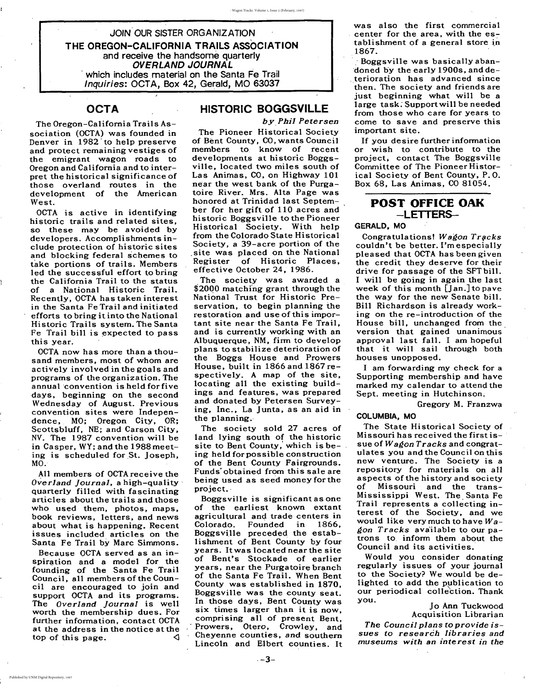,•

JOIN OUR SISTER ORGANIZATION THE OREGON-CALIFORNIA TRAILS ASSOCIATION and receive the handsome quarterly OVERLAND JOURNAL , which includes material on the Santa Fe Trail Inquiries: OCTA, Box 42, Gerald, MO 63037

## **OCTA**

## JoAnn Tuckwood Acquisition Librarian

*The Council plans* to *provide issues* to *research libraries and museums with an interest in the*

## POST OFFICE OAK -LETTERS-

## GERALD, MO

**Congratulations!** *Wagon Tracks* couldn't be better. I'm especially pleased that OCTA has been given the credit they deserve for their drive for passage of the SFTbili. I will be going in again the last week of this month [Jan.] to pave the way for the new Senate bill. Bill Richardson is already working on the re-introduction of the House bill, unchanged from the version that gained unanimous' approval last fall. I am hopeful that it will sail through both .houses unopposed.

I am forwarding my check for a Supporting membership and have marked my calendar to attend the

Sept. meeting in Hutchinson;

## Gregory M. Franzwa

## COLUMBIA. MO

The State Historical Society of Missouri has received the first is- . sue of *Wagon Tracks* and congratulates you and the Council on this new venture. The Society is a repository for materials on all aspects of the history and society of Missouri and the trans-Mississippi West. The Santa Fe Trail represents a collecting interest of the Society, and we would 1ike very much to have *Wagon Tracks* ava'ilable to our patrons to. inform them about the Council and its activities.

Would you consider donating regularly issues of your journal to the Society? We would be delighted to add the publication to our periodical colle'ction. Thank you.

was also the first commercial . center for the area, with the establishment of a general store in 1867.

. Boggsville was basicallyabandoned by the early 1900s, and deterioration has advanced since then. The society and friends are just beginning what will be a large task: Support will be needed from those who care for years to come to save and preserve this important site.

If you desire further information or wish to contribute to the project, contact The Boggsville Committee of The Pioneer Historical Society of Bent County, P. O. Box 68, Las Animas, CO 81054.

## HISTORIC BOGGSVILLE

## *byPhiJ Petersen*

OCTA is active in identifying historic trails and related sites, so these may be avoided by developers. Accomplishments include protection of historic sites and blocking federal schemes to take portions of trails. Members led the successful effort to bring the California Trail to the status of a National Historic Trail. Recently, OCTA has taken interest in the Santa Fe Trail and initiated efforts to bring it into the National Historic Trails system. The Santa Fe Trail bill is expected to pass this year.

The Pioneer Historical Society of Bent County, CO, wants Council members to know of recent developments at historic Boggsville, located two miles south of Las Animas, CO, on Highway 101 near the west bank of the Purgatoire River. Mrs. Alta Page was honored at Trinidad last September for her gift of 110 acres and historic Boggsville to the Pioneer Historical Society. With help from the Colorado State Historical Society, a 39-acre portion of the ,site was placed on the National Register of Historic Places, effective October 24, 1986.

 $OCTA$  now has more than a thousand members, most of whom are actively involved in the goals and programs of the organization. The annual 'convention is held for five

All members of OCTA receive the *Overland Journal,* a high-quality' quarterly filled with fascinating articles about the trails and those who used them, photos, maps, book reviews, letters, and news about what is happening. Recent issues included articles on the Santa Fe Trail by Marc Simmons.

Because OCTA served as an inspiration and a model for the founding of the Santa Fe Trail Council, all members of the Council are encouraged to join and support OCTA and its programs. The *Overland Journal* is well worth the membership dues. For further information, contact OCTA at the address in the notice at the top of this page.  $\triangleleft$ 

The society was awarded a \$2000 matching grant through the National Trust for Historic Preservation, to begin planning the restoration and use of this important site near·the Santa Fe Trail, and is currently working with an Albuquerque, NM, firm to develop plans to stabilize deterioration of the Boggs House and Prowers House, built in 1866 and 1867 respectively. A map of the site, locating all the existing build-

ings and features, was prepared and donated by Petersen Surveying, Inc., La Junta, as an aid in the planning.·

The society sold 27 acres of land lying south of the historic<br>site to Bent County, which is being held for possible construction of the Bent County Fairgrounds. Funds' obtained from this sale are being used as seed money for the project..

Boggsville is significant as one of the earliest known extant agricultural and trade centers in Colorado. Founded in 1866, Boggsville preceded the establishment of Bent County by four years. It was located near the site of Bent's Stockade of earlier years, near the Purgatoire branch of the Santa Fe Trail. When Bent County was established in 1870, Boggsville was the county seat. In those days, Bent County was six times larger than it is now, comprising all of present Bent, Prowers, Otero, Crowley, and Cheyenne counties, and southern Lincoln and Elbert counties. It

The Oregon-California Trails Association (OCTA) was founded in Denver in 1982' to help preserve and protect remaining vestiges of the emigrant. wagon roads to Oregon and California and to interpret the historical significance of those overland routes in the development of the American West.

days, beginning on the second Wednesday of August. Previous convention sites were Independence,. MO; Oregon City, OR; Scottsbluff, NE; and Carson City, NV. The 1987 convention will be in Casper, WY; and the 1988meeting is scheduled for St. Joseph, MO.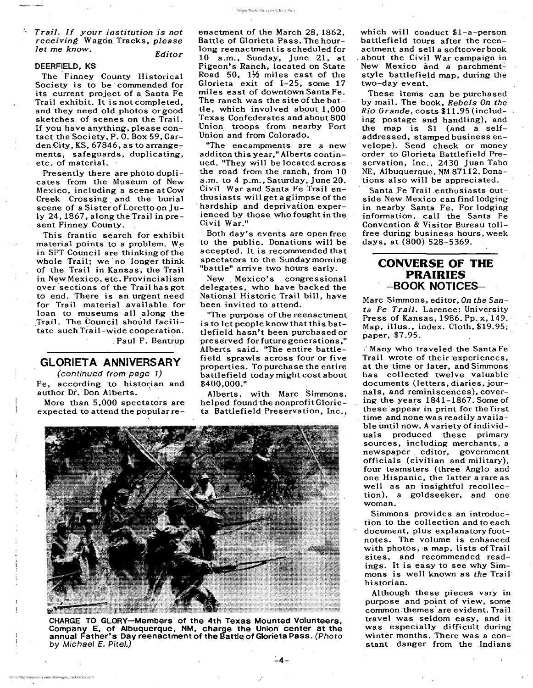CHARGE TO GLORY-Members of the 4th Texas Mounted Volunteers. Company E. of Albuquerque. NM. charge the Union center at the annual Father's Day reenactment of the Battle of Glorieta Pass. (Photo by Michael E. Pitel.)

#### *Editor*

## DEERFIELD, KS

, .

\. *Trail. If your institution is not receiving* Wagdn Tracks. *please let* me *know.*

Presently there are photo duplicates from the Museum of New Mexico. including a scene at Cow Creek Crossing, and the burial scene of a Sister of Loretto on July 24,1867. along the Trail inpresent Finney County.

The Finney County Historical Society is to be commended for its current project of a Santa Fe Trail exhibit. It is not completed. and they need old photos or good sketches of scenes on the Trail. If you have anything. please contact the Society. P. O. Box 59. Garden.City, KS,  $67846$ , as to arrangements. safeguards. duplicating. etc. of material.

This frantic search for exhibit material points to a problem. We in SFT Council are thinking of the whole Trail; we' no longer think of the Trail in Kansas. the Trail in New Mexico. etc. Provincialism over sections of the Trail has got to end. There is an urgent need for Trail material available for loan to museums all along the Trail. The Council should facilitate such Trail-wide cooperation. • , Paul F. Bentrup

(continue'd from page 1) Fe, according to historian and author Dr. Don Alberts.

# **GLORIETA ANNIVERSARY**

"The purpose of the reenactment" is to let people know that this battlefield hasn't been purchased or preserved for future generations." Alberts said. ''The entire battle- • field sprawls across four or five properties. To purchase the entire battlefield today might cost about \$400.000."

Alberts. with Marc Simmons. helped found the nonprofit Glorieta Battlefield Preservation, Inc.,

 $-4-$ 



More than 5.000 spectators are expected to attend the popularreenactment of the March 28. 1862. Battle of Glorieta Pass. The hourlong reenactment is scheduled for 10 a.m.. Sunday. June 21. at Pigeon's Ranch. located on State Road 50,  $1\frac{1}{2}$  miles east of the Glorieta exit of 1-25. some 17 miles east of downtown Santa Fe. The ranch was the site of the battle. which involved abput 1.000 Texas Confederates and about 800 Union troops from nearby Fort Union and from Colorado.

## **CONVERSE OF THE PRAIRIES** -BOOK NOTICES-

"The encampments are a new additon this year." Alberts continued. ''They will be located across the road from the ranch, from 10 a.m. to 4 p.m., Saturday, June 20. Civil War and Santa Fe Trail enthusiasts will get a glimpse of the 'hardship and deprivation experienced by those who fought in the Civil War."

Both day's events are open free to the public. Donations will be accepted. It is recommended that spectators to the Sunday morning "battle" arrive two hours early.

New ,Mexico's congressional delegates, who have backed the National Historic Trail bill. have been invited to attend.

I

which will conduct \$1-a-person battlefield tours after the reenactment and sell a softcoverbook . about the Civil War campaign in New Mexico and a parchmentstyle battlefield map. during the two-day event.

These items can be purchased by mail. The book. *Rebels On the Rio Grande ..* cOsts \$11.95 (including postage and handling). and the map is \$1 (and a selfaddressed. stamped business envelope). Send check or money order to Glorieta Battlefield Preservation, Inc., 2430 Juan Tabo NE, Albuquerque, NM 87112. Donations also will be appreciated.

'Santa Fe Trail enthusiasts outside New Mexico can find lodging in nearby Santa Fe. For lodging information. call the Santa Fe Convention & Visitor Bureau tollfree during business hours, week days. at (800) 528-5369. .

Marc Simmons. editor. *On the Santa Fe Trail.* Larence: University Press of Kansas,  $1986.$  Pp.  $x$ ,  $149.$ Map, illus., index. Cloth, \$19.95; paper. \$7.95.

" Many who traveled the Santa Fe Trail wrote of their experiences, at the time or later. and Simmons has collected twelve valuable documents (letters. diaries. journals. and reminiscences). covering the years 1841~1867. Some of these'appear in print for the 'first time and none was readily availa $$ ble until now. A variety of individuals produced these primary sources, including merchants, a newspaper editor, government officials (civilian and military), four teamsters (three Anglo and one Hispanic. the latter a rare as well as an insightful recollection). a goldseeker, and one woman. Simmons provides an introduction to the collection and to each document. plus explanatory footnotes. The volume is enhanced with photos, a map, lists of Trail sites. and recommended readings. It is easy to see why Simmons is well known as *the* Trail historian. . Although these pieces vary in purpose and point of view. some common rthemes' are evident. Trail travel was seldom easy. and it was especially difficult during winter months. There was a constant danger from the Indians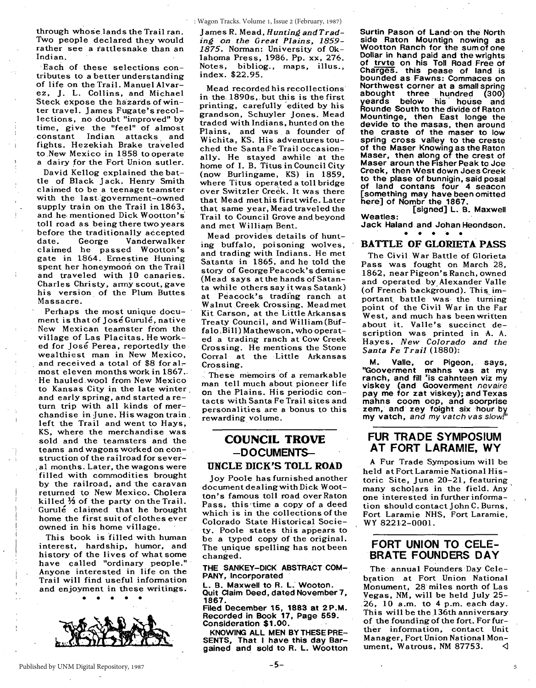: Wagon Tracks. Volume 1, Issue 2 (February, 1987)

through whoselands the Trail ran. Two people declared they would rather see a rattlesnake than an Indian.

'Each of these selections contributes to a better understanding of life on the Trail. Manuel Alvarez, j. L. Collins, and Michael Steck expose the hazards ofwinter travel. James Fugate's recollections, no doubt "improved" by time, give the "feel" of almost . constant Indian attacks and fights. Hezekiah Brake traveled to .New Mexico in 1858 to operate a dairy for the Fori Union sutler.

David Kellog explained the battle of Black jack. Henry Smith claimed to be a teenage teamster with the last government-owned supply train on the Trail in  $1863$ , and he, mentioned Dick Wootton's toll road as being there two years before the traditionally accepted<br>date. George Vanderwalker Vanderwalker claimed he passed Wootton's gate in 1864. Ernestine Huning spent her honeymoon on the Trail and traveled with 10 canaries. Charles Christy, army scout, gave his version. of the Plum Buttes Massacre.

Perhaps the most unique document is that of José Gurulé, native New Mexican teamster from the village of Las Placitas. He worked for José Perea, reportedly the wealthiest man in New Mexico, and received a total of \$8 for almost eleven months work in 1867. . He hauled wool from New Mexico to Kansas City in the late winter, and early spring; and started a return trip with all kinds of merchandise in June. His wagon train, left the Trail and went to Hays, KS, where the merchandise was sold and the teamsters and the teams and wagons worked on construction of the railroad for several months. Later, the wagons were 'filled with commodities brought by the railroad, and the caravan returned to New Mexico. Cholera killed % of the party on the Trail. Gurule claimed that he brought home the first suit of clothes ever owned in his home viJlage.

. , i

> This book is filled with human interest, hardship, humor, and history of the lives of what some have called "ordinary people.'" Anyone interested in life on the Trail will find useful information and enjoyment in these writings.



Mead recorded his recollections' in the 1890s, but this is the first printing, carefully 'edited by his grandson, Schuyler jones. Mead traded with Indians, hunted on the Plains, and was a founder of Wichita, KS. His adventures touched the Santa Fe Trail occasionally. He stayed awhile at the home of 1. B. Titus in Council City (now Burlingame, KS) in 1859, where Titus operated a toll bridge over Switzler Creek. It was there that Mead met his first wife. Later that same year, Mead traveled the Trail to Council Grove and beyond and met William Bent.

Mead provides details of hunting buffalo, poisoning wolves, and trading with Indians. He met Satanta in 1865, and he told the story of George Peacock's demise (Mead says at the hands of Satanta while others say it was Satank) at Peacock's trading ranch at Walnut Creek Crossing. Mead met Kit Carson, at the Little Arkansas Treaty Council, and William (Buffalo Bill) Mathewson, who operated a trading ranch at Cow Creek Crossing. He mentions the Stone Corral at the Little Arkansas Crossing.

These memoirs of a remarkable man tell much about pioneer life on the Plains. His periodic contacts with Santa Fe Trail sites and personalities are a bonus to this rewarding volume.

#### COUNCIL TROVE  $-$ DOCUMENTS-

#### UNCLE DICK'S TOLL ROAD

joy Poole has furnished another document dealing with Dick Wootton's famous toll road over Raton Pass, this time a copy of a deed which is in the collections of the Colorado State Historical Society. Poole states this appears to be a typed copy of the original. The unique spelling has not been changed.

THE SANKEY-DICK ABSTRACT COM-PANY, Incorporated

L. B. Maxwell to R. L. Wooton. Quit Claim Deed, dated November 7, 1867.

Filed December 15, 1883 at 2P.M. Recorded in Book 17, Page 559. Consideration \$1.00.

KNOWING ALL MEN BY THESE PRE-SENTS, That I have this day Bargained and sold to R. L. Wootton

Surtin Pason of Land-on the North side Raton Mountign nowing as<br>Wootton Ranch for the sum of one<br>Dollar in hand paid and the wrights of trvte on his Toll Road Free of Charges. this pease of land is<br>bounded as Fawns: Commaces on Northwest corner at a small spring<br>abought three hundred (300) abought three hundred (300)<br>veards below his house and below his house Rounde South to the divide of Raton Mountinge, then East longe the devide to the masas, then around the craste of the maser to low spring cross valley to the creste of the Maser Knowing as the Raton Maser, then along of the crest of Maser aroun the Fisher Peak to Joe Creek, then West down Joes Creek to the plase of bunnigin, said posal<br>of land contans four 4 seacon of land contans four <sup>4</sup> seacon [something may have been omitted here] of Nombr the 1867.

[signed] L. B. Maxwell Weatles:

Jack Haland and Johan Heondson.

#### BATTLE OF GLORIETA PASS

The Civil War Battle of Glorieta Pass was fought on March 28, 1862, near Pigeon's Ranch, owned and operated by Alexander Valle (of French background). This important battle was the turning point of the Civil War in the Far West, and much has been written about it. Valle's succinct description was printed in A. A. Hayes, *New Colorado and the Santa Fe Trail* (1880): .

M. Valle, or Pigeon, says, "Gooverment mahns vas at my ranch, and fill 'is cahnteen viz my viskey (and Gooverment nevaire pay me for zat viskey); and Texas mahns coom oop, and soorprise zem, and zey foight six hour by my vatch, and my vatch vas *slow!'*

#### FUR TRADE SYMPOSIUM AT FORT LARAMIE, WY

A Fur Trade Symposium will be held at Fort Laramie National Historic Site, june 20-21, featuring, many sch01ars in the field. Any one interested in further information should contact john C. Burns, Fort Laramie NHS, Fort Laramie, WY 82212-0001.

#### FORT UNION TO CELE-BRATE FOUNDERS DAY

The annual Founders Day Celebration at Fort Union National Monument, 28 miles north of Las Vegas, NM, will be held july 25- 26, 10 a.m. to 4 p.m. each day. This will be the 136th anniversary of the founding of the fort. For further information, contact Unit Manager, Fort Union National Monument, Watrous, NM 87753.  $\triangleleft$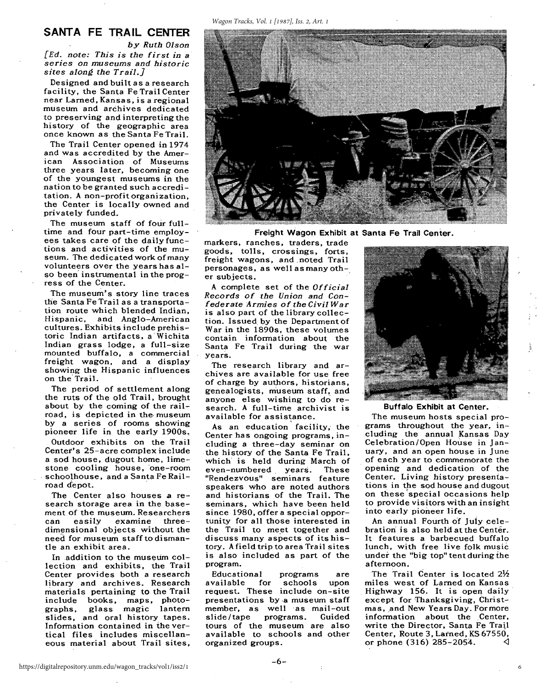#### *Wagon Tracks, Vol. 1 [1987], Iss. 2, Art. 1*

#### **SANTA FE TRAIL CENTER**

*by Ruth Olson [Ed. note: This is the first in* a *series on museums and historic sites along the Trail.]*

Designed and built as a research facility, the Santa Fe Trail Center near Larned, Kansas, is a regional museum and archives dedicated to preserving and interpreting the history of the geographic area once known as the Santa Fe Trail.

The Trail Center opened in 1974 and was accredited by the American Association of Museums three years later, becoming one of the youngest museums in the nation to be granted such accreditation. A non-profit organization, the Center is locally owned and privately funded.

The museum staff of four fulltime and four part-time employees takes care of the daily functions and activities of the museum. The dedicated work of many volunteers over the years has also been'instrumental in the progress of the Center.

The museum's story line traces the Santa Fe Trail as a transportation route which blended Indian, Hispanic, and Anglo-American cultures. Exhibits include prehistoric Indian artifacts, a Wichita Indian grass lodge, a full-size mounted buffalo, a commercial freight wagon, and a display showing the Hispanic influences<br>on the Trail.

The period of settlement along the ruts of the old Trail, brought about by the coming of the railroad, is depicted in the museum by a series of rooms showing pioneer life in the early 1900s. Outdoor exhibits on the Trail Center's 25-acre complex include a sod house, dugout home, limestone cooling house, 'one-room schoolhouse, and a Santa Fe Railroad d'epot.

The Center also houses a research storage area in the basement of the museum. Researchers can easily examine threedimensional objects without the need for museum staff to dismantle an exhibit area.

In addition to the museum collection and exhibits, the Trail Center provides both a research library and archives. Research materials pertaining to the Trail include books, maps, photographs, glass magic lantern slides, and oral history tapes. Information contained in the vertical files includes miscellaneous material about Trail sites,



**Freight Wagon Exhibit at Santa Fe Trail Center.**

markers, ranches, traders, trade goods, tolls, crossings, forts, freight wagons, and noted Trail personages, as well as many other subjects. .

A complete set of the *Official Records of the Union and Confederate Armies of the Civil War* is also part of the library collection. Issued by the Department of War in the 1890s, these volumes contain information about the Santa Fe Trail during the war years.

The research library and archives are available for use free of charge by authors, historians, genealogists, museum staff, and anyone else wishing to do research. A full-time archivist is available for assistance.

As an education facility, the Center has ongoing programs, including a three-day seminar on the history of the Santa Fe Trail, which' is held during March of even-numbered, years. These "Rendezvous" seminars feature speakers who are noted authors and historians of the Trail. The seminars, which have been held since 1980, offer a special opportunity for all those interested in the Trail to meet together and discuss many aspects of its history. A field trip to area Trail sites is also included as part of the program.

Educational programs are available for schools upon request. These include on-site presentations by·a museum staff member, as well as mail-out<br>slide/tape programs. Guided slide/tape programs. tours of the museum are also available to schools and other organized groups.



#### **Buffalo Exhibit at Center.**

The museum hosts special programs throughout the year, including the annual Kansas Day Celebration/Open House in January, and an open house in June of each year to commemorate the opening and dedication of the Center. Living history presentations in the sod house and dugout on these 'special occasions help to provide visitors with an insight into early pioneer life.

An annual Fourth of July celebration is also held at the Center. It features a barbecued buffalo lunch, with free live folk music under the "big top" tent during the afternoon.

The Trail Center is located  $2\frac{1}{2}$ miles west of Larned on Kansas Highway 156. It is open daily' except for Thanksgiving, Christmas, and New Years Day. For more information about the Center, write the Director, Santa Fe Trail Center, Route 3, Lamed, KS 67550, or phone (316) 285-2054.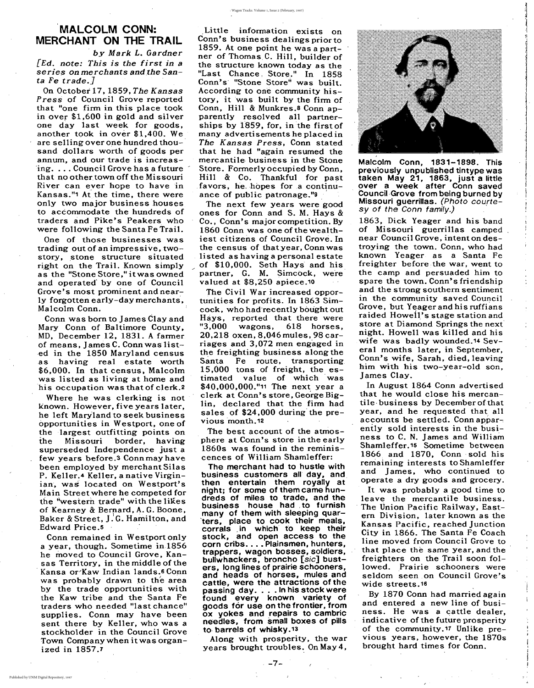## **MALCOLM CONN: MERCHANT ON THE TRAIL**

*by Mark* 1. *Gardner [Ed. note: This* is *the first in* a *series on merchants and.the Santa Fe trade.]*

On October 17, 1859, *The Kansas Press* of Council Grove reported that "one firm in this place took in over \$1,600 in gold and silver one day last week for goods, another took in over \$1,400. We are selling over one hundred thou-' sand dollars worth of goods per annum, and our trade is increas ing.... Council Grove has a future that no other town off the Missouri River can ever hope to have in Kansas."1 At the time, there were only two major business houses to accommodate the hundreds of traders and Pike's Peakers who were following the Santa Fe Trail.

One of those businesses was trading out of animpressive, twostory, stone structure situated right on the Trail. Known simply as the "Stone Store," itwas owned and operated' by one of Council Grove's most prominent and nearly forgotten early-day merchants, Malcolm Conn.

Conn was born to James Clay and Mary Conn of Baltimore County, MD, December 12, 1831. A farmer of means, James C. Conn was listed in the 1850 Maryland census as having real estate worth \$6,000. In that census, Malcolm was listed as living at home and his occupation was that of clerk.2 Where he was clerking is not known. However, five years later, he left MarYland to seek business opportunities in Westport, one of the largest outfitting points on the Missouri border, having superseded Independence just a few years before.3 Conn may have been employed by merchant Silas P. Keller.4 Keller, a native Virginian, was located on Westport's Main Street where he competed for the "western trade" with the likes of Kearney & Bernard, A. G. Boone, Baker & Street, J.G. Hamilton, and Edward Price.5 ' Conn remained in Westport only a year, though. Sometime in 1856 he moved to Council Grove, Kansas Territory, in the middle of the Kansa or'Kaw Indian lands.6 Conn was probably drawn to the area by the trade opportunities with the Kaw tribe and the Santa Fe traders who needed "last chance" supplies. Conn may have been sent there by Keller, who was a stockholder in the Council Grove Town Company when itwas organized in 1857.7

Little information exists on Conn's business dealings prior to 1859. At one point he was a partner of Thomas C. Hill, builder of the structure known today as the "Last Chance, Store." In 1858 Conn's' "Stone Store'i was built. According to one community history, it was built by the firm of Conn, Hill & Munkres.<sup>8</sup> Conn apparently resolved all partnerships by 1859, for, in the first of many advertisements he placed in *The Kansas Press,* Conn stated that he had "again resumed the mercantile business in the Stone Store. Formerly occupied by Conn, Hill & Co. Thankful for past favors, he hopes for a continuance of public patronage."9

The Civil War increased opportunities for profits. In 1863 Simcock, who had'recently bought out Hays, reported that there were "3,000 wagons, 618 horses, 20,218 oxen, 8,046 mules, 98 carriages and 3,072 men engaged in the freighting business along the Santa Fe route, transporting 15,000 tons of freight, the estimated value of which' was \$40,000,000."11 The next year a clerk at Conn's store, George Biglin, declared that the firm had sales of \$24,000 during'the previous month.<sup>12</sup>



Malcolm Conn, 1831-1898. This previously unpublished tintype was taken May 21, 1863, just a little over a week after Conn saved Council·Grove from being burned by Missouri guerrillas. (Photo courtesy of the Conn family.)

In August 1864 Conn advertised that he would close his mercantile business by December of that year, and he requested that all accounts be settled. Conn appar-: ently sold interests in the business to C. N. James and William Shamleffer.15 Sometime between 1866 and 1870, Conn· sold his remaining interests to Shamleffer and James, who continued to operate a dry goods and grocery. It was probably a good time to leave the mercantile business. . The Union Pacific Railway, Eastern Division, later known as the Kansas Pacific, reached Junction City in 1866. The Santa Fe Coach line moved from Council Grove to that place the same year, and the freighters on the Trail soon followed. Prairie schooners were seldom seen .on Council Grove's wide streets.16 By 1870 Conn had married again and entered a new line of business. He was a cattle dealer, indicative of the future prosperity of the community.<sup>17</sup> Unlike previous years, however, the 1870s brought hard times for Conn.

The next few years were good ones for Conn and S. M. Hays & Co., Conn's major competition. By 1860 Conn was one of the wealthiest citizens of Council Grove. In the census of that year, Conn was listed as having a personal estate of \$10,000. Seth Hays and his partner, G. M. Simcock, were valued at \$8,250 apiece.1o

> I  $\frac{1}{1}$

The best account of the atmosphere at Conn's store in the early 1860s was found in the reminiscences of William Shamleffer:

The merchant had to hustle with business customers all day, and, then entertain them royally at night; for some of them came hundreds of miles to trade, and the business house had, to furnish many of them with sleeping quar-'ters, place to cook their meals, corrals ,in which to keep their stock, and open access to the corn cribs.... Plainsmen, hunters, trappers, wagon bosses, soldiers, bullwhackers, broncho [sic] busters, long lines of prairie schooners, and heads of horses, mules and cattle, were the attractions of the passing day....In his stock were found every known variety of goods for use on the frontier, from ox yokes and repairs to cambric needles, from small boxes of pills to, barrels of whisky. 13

Along with prosperity, the war years brought troubles. On May 4,

 $-7-$ 

1863, Dick Yeager and his band of Missouri guerrillas camped near Council Grove, intent on destroying the town. Conn, who had known Yeager as a Santa Fe freighter before the war, went to the camp and persuaded him to spare the town. Conn's friendship and the strong southern sentiment in the community saved Council<br>Grove, but Yeager and his ruffians raided Howell's stage station and store at Diamond Springs the next night. Howell was killed and his wife was badly wounded.<sup>14</sup> Several months later, in September, Conn's wife, Sarah, died, leaving him with his two-year-old son, James Clay.

I )

J !<br>!<br>! I i I

I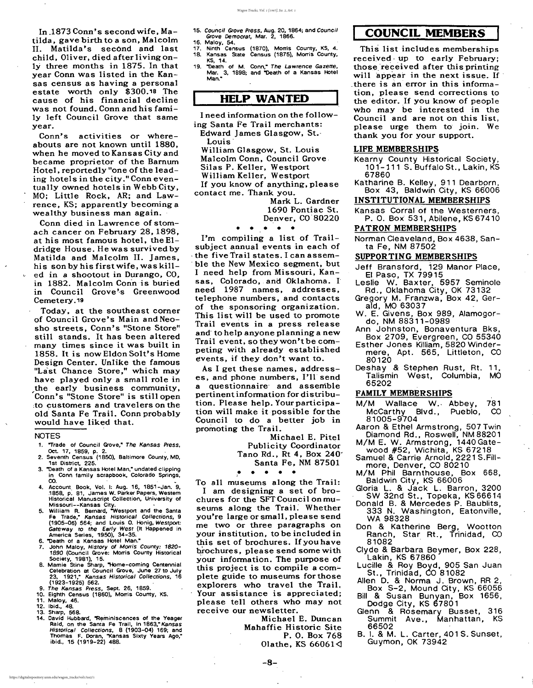,

In  $1873$  Conn's second wife, Matilda, gave birth to a son, Malcolm II. Matilda's second and last child, Oliver, died after living only three months in 1875. In that year Conn was listed in the Kansas census as having a personal estate worth only \$300.18 The cause of his financial decline was not found. Conn and his family left Council Grove that same year.

Conn's activities or whereabouts are not known until 1880, when he moved to Kansas City and became proprietor of the Barnum Hotel, reportedly "one of the leading hotels in the city." Conn eventually owned hotels in Webb City, MO; Little Rock, AR; and Lawrence, KS; apparently becoming a wealthy business man again. '

Conn died in Lawrence of stomach cancer on February 28,1898, at his most famous hotel, the Eldridge House. He was survived by Matilda and Malcolm II. James, his son by his first wife, was kill- $\vee$  ed in a shootout in Durango, CO, in 1882. Malcolm Conn is buried in Council Grove's Greenwood Cemetery.19

Today, at the southeast comer of Council Grove's Main and Neosho streets, Conn's "Stone Store" still stands. It has been altered many times since it was built in 1858. It is now Eldon Solt's Home Design Center. Unlike the famous "Last Chance Store," which may have played only a small role in ,the early business community, Conn's "Stone Store" is still open :to customers and travelers on the old Santa Fe Trail. Conn probably would have liked that.

#### NOTES

Mark L. Gardner 1690 Pontiac St. Denver, CO 80220

- 1. "Trade of Council Grove; The Kansas Press, Oct. 17, 1859, p. 2.
- 2. Seventh Census (1850), Baltimore County, MD, 1st District, 225.
- 3. "Death of a Kansas Hotel Man," undated clipping Conn family scrapbook, Colorado Springs,
- . . 4. Account, Book, Vol. I: Aug. 16, 1851-Jan. 9, ,1858, p. 81, James W. Parker Papers, Westem Historical Manuscript Collection, University of Missouri--Kansas City. .
- 5. William R. Bemard, "Westport and the Santa Fe Trade; Kansas Historical Collections, 9 (1905-06) 564; and Louis O. Honig, Westport: Gateway to the Early West (It Happened in America Series, 1950), 34-35.
- 6. "Death of a Kansas Hotel Man."
- 7. John Maloy, History of Morris County: 1820- 1890 (Council Grove: Morris County Historical Society, 1981), 15.
- 8. Mamie Stine Sharp, "Home-coming Centennial Celebration at Council Grove, June 27 to July 23. 1921," Kansas Historical Collections, 16 (1923-1925) 562. '
- 9. The Kansas Press, Sept. 26, 1859.
- 10. Eighth Census (1860), Morris County, KS.
- 11. Maloy, 46.
- 12. Ibid., 48.
- 13. Sharp, 568.
- 14. David Hubbard, "Reminiscences of the Yeager Raid, on the Santa Fe Trail, in 1863," Kansas Historical Collections, 8 (1903-04) 169; and Thomas F. Doran, "Kansas Sixty Years Ago" ibid., 15 (1919-22) 488. '

Michael E. Duncan Mahaffie Historic Site P. O. Box 768 Olathe, KS  $66061\triangleleft$ 

#### 15. Council Grove Press, Aug. 20, 1864; and Council Grove Democrat, Mar. 2, 1866.

- 16. MalOy, 54.
- 17. Ninth Census (1870), Morris County, KS, 4.
- 18. Kansas State Census (1875), Morris County, KS, 14.
- 19. "Death of M. Conn," The Lawrence Gazette, Mar. 3, 1898; and "Death of a Kansas Hotel **Man."**

## HELP WANTED

- Jeff Bransford, 129 Manor Place, EI Paso, TX 79915
- Leslie W. Baxter, 5957 Seminole Rd., Oklahoma City, OK 73132
- Gregory M. Franzwa, Box 42, Gerald, MO 63037 '
- W. E. Givens, Box 989, Alamogordo, NM 88311 -0989
- Ann Johnston, Bonaventura Bks, Box 2709, Evergreen, CO 55340
- Esther Jones Killiam, 5820 Windermere, Apt. 565, Littleton, CO 80120
- Deshay & Stephen Rust, Rt. 11, Talismin West, Columbia, MO 65202
- 

I need information on the following Santa Fe Trail merchants: Edward James Glasgow, St.'

Louis'

William Glasgow, St. Louis Malcolm Conn, Council Grove,

Silas P. Keller, Westport

William Keller, Westport

If you know of anything, please contact me. Thank you.

• • • • •

I'm compiling a list of Trailsubject annual events in each of . the five Trail states. I can assem ble the New Mexico segment, but I need help from Missouri, Kansas, Colorado, and Oklahoma. I need 1987 names, addresses, telephone numbers, and contacts of the sponsoring organization. This list will be used to promote Trail events in a press release and' to help anyone planning a new Trail event, so they won't be competing with already established events, if they don't want to.

As I get these names, addresses, and phone numbers, I'll send a Questionnaire' and assenible pertinent information for distribution. Please help. Your participation will make it possible forthe Council to do a better job in promoting the Trail. Michael E. Pitel Publicity Coordinator Tano Rd., Rt 4, Box 240' Santa Fe, NM 87501

• • • • • •

To all museums along the Trail: I am designing a set of brochures for the SFTCouncil onmuseums along the Trail. Whether you're large or small, please send me two or three paragraphs on your institution, to be included in this set of brochures. Ifyou have brochures, please send some with your information. The purpose of this project is to compile a complete guide to museums for those explorers who travel the Trail. Your assistance is appreciated; please tell others who may not receive our newsletter.

## **I COUNCIL MEMBERS I**

This list includes memberships received- up to early February; those received after this printing will appear in the next issue. If \_there is an error in this information, please send corrections to the editor. If you know of people who may be interested in the Council and are not on this list, please urge them to join. We thank you for your support.

#### LIFE MEMBERSHIPS

- Kearny County Historical Society, 101-111 S. Buffalo St., Lakin, KS 67860
- Katharine B. Kelley, 911 Dearbprn, Box 43, Baldwin City, KS 66006

## INSTITUTIONAL MEMBERSHIPS

Kansas Corral of the Westerners, P. O. Box 531, Abilene, KS 67410

PATRON MEMBERSHIPS

Norman Cleaveland, Box 4638, Santa Fe, NM 87502

#### SUPPORTING MEMBERSHIPS

#### FAMILY MEMBERSHIPS

- 781 McCarthy Blvd., Pueblo, CO M/M Wallace W., Abbey, 81005-9704
- Aaron & Ethel Armstrong, 507 Twin Diamond Rd., Roswell, NM 88201
- M/M E. W. Armstrong, 1440 Gatewood #52, Wichita, KS 67218
- Samuel & Carrie Arnold, 2221 S. Fillmore, Denver, CO 80210
- M/M Phil Barnthouse, Box 668, Baldwin City, KS 66006
- Gloria L. & Jack L. Barron, 3200 SW 32nd St., Topeka, KS 66614
- Donald B. & Mercedes P. Baublits, 333 N. Washington, Eatonville WA 98328
- Don & Katherine Berg, Wootton Ranch, Star Rt., Trinidad, CO 81082 '
- Clyde & Barbara Beymer, Box 228 Lakin, KS 67860 '
- Lucille & Roy Boyd, 905 San Juan St., Trinidad, CO 81082
- Allen D. & Norma J. Brown, RR 2, Box S-2, Mound City, KS 66056 Bill & Susan Bunyan, Box 1656,

Dodge City, KS 67801

- Glenn & Rosemary Busset, 316 Summit Ave., Manhattan, KS 66502
- B. I. & M. L. Carter, 401 S.Sunset, Guymon, OK 73942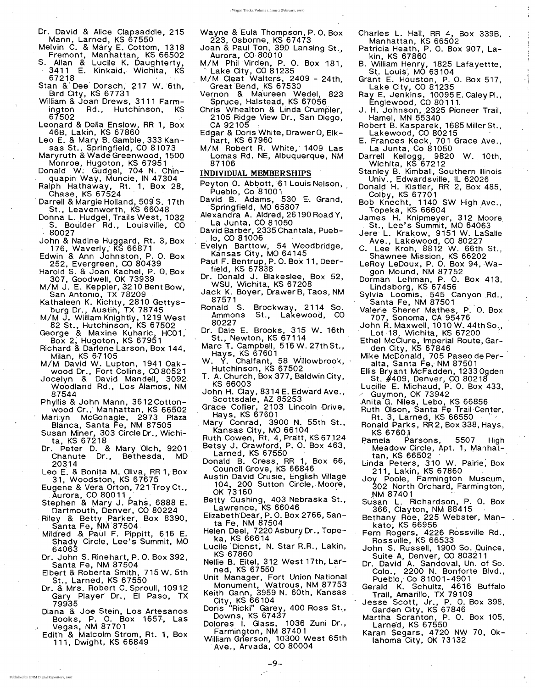- Dr. David & Alice Clapsaddle, 215 Mann, Larned, KS 67550
- Melvin C. & Mary E. Cottom, 1318 Fremont, Manhattan, KS 66502
- S. Allan & Lucile K. Daughterty, . 3411 E. Kinkaid, Wichita, KS 67218
- Stan & Dee Dorsch, 217 W. 6th, Bird City, KS 67731
- William & Joan Drews, 3111 Farmington Rd., Hutchinson, KS
- <sup>67502</sup> . Leonard & Della Enslow, RR 1, Box 46B, Lakin, KS 67860
- Leo E. & Mary B. Gamble, 333 Kansas St., Springfield, CO 81073
- Maryruth & Wade Greenwood, 1500
- Monroe, Hugoton, KS 67951.<br>- Donald W: Gudgel, 704 N. Chin quapin Way, Muncie, IN 47304
- quaph way, muncle, in 47504<br>Ralph Hathaway, Rt. 1, Box 28,<br>Desuil Strusialistics 588.6, 17th
- . Darrell & Margie Holland, 509 S. 17th St., Leavenworth, KS 66048
- Donna L. Hudgel, Trails West, 1032
- . S. Boulder Rd., Louisville, CO . 80027
- John & Nadine Huggard, Rt. 3, Box 176, Waverly; KS 66871
- Edwin & Ann John'ston, P. O. Box 252, Evergreen, CO 80439
- Harold S. & Joan Kachel, P. O. Box 307, Goodwell, OK 73939
- M/M J. E. Keppler, 3210 Bent Bow, San Antonio, TX 78209
- Kathaleen K. Kichty, 2810 Gettysburg Dr., Austih, TX 78745
- M/M J. William Knightly, 1219West 82 St., Hutchinson, KS 67502
- George & Maxine Kuharic, HC01, Box 2; Hugoton, KS 67951
- Richard & Darlene Larson, Box 144, Milan, KS 67105
- M/M David W. Lupton, 1941 Oakwood Dr., Fort Collins, CO 80521
- Jocelyn & David Mandell, 3092 Woodland Rd., Los Alamo's, NM

| 87544                                | JONN H. C             |
|--------------------------------------|-----------------------|
| Phyllis & John Mann, 3612Cotton-     | Scottsd               |
| wood Cr., Manhattan, KS 66502        | Grace Col             |
| Marilyn McGonagle, 2973 Plaza        | Hays, M               |
|                                      | Mary Cor              |
| Blanca, Santa Fe, NM 87505           | Kansas                |
| Susan Miner, 303 Circle Dr., Wichi-  | <b>Ruth Cow</b>       |
| ta, KS 67218                         | Betsy J. (            |
| Dr. Peter D. & Mary Olch, 9201       | Larned                |
| Chanute Dr., Bethesda,<br><b>MD</b>  |                       |
| 20314                                | Donald B              |
| Leo E. & Bonita M. Oliva, RR 1, Box  | Council               |
| 31, Woodston, KS 67675               | Austin Dai            |
| Eugene & Vera Orton, 721 Troy Ct.,   | 104, 2                |
| Aurora, CO 80011.                    | OK 731                |
| Stephen & Mary J. Pahs, 6888 E.      | Betty Cus             |
| Dartmouth, Denver, CO 80224          | Lawren                |
| Riley & Betty Parker, Box 8390,      | Elizabeth [           |
| Santa Fe, NM 87504                   | ta Fe, $\overline{ }$ |
| Mildred & Paul F. Pippitt, 616 E.    | Helen Dee             |
| Shady Circle, Lee's Summit, MO       | ka, KS                |
| 64063                                | Lucile Die            |
|                                      | KS 678                |
| Dr. John S. Rinehart, P. O. Box 392, | Nellie B. E           |
| Santa Fe, NM 87504                   | ned, KS               |
| Elbert & Roberta Smith, 715 W. 5th   | Unit Mana             |
| St., Larned, KS 67550                | Monum                 |
| Dr. & Mrs. Robert C. Sproull, 10912  | Keith Gan             |
| Gary Player Dr., El Paso, TX         | City, KS              |
| 79935                                |                       |
| Diana & Joe Stein, Los Artesanos     | Doris "Ric            |
| Books, P. O. Box 1657, Las           | Downs,                |
| Vegas, NM 87701<br>ا گ               | Dolores I             |
| Edith & Malcolm Strom, Rt. 1, Box    | Farming               |
| 111, Dwight, KS 66849                | William Gr            |
|                                      | Ave., A               |

lay, 8314 E. Edward Ave., 1ale, AZ 85253 llier, 2103 Lincoln Drive, KS 67601 hrad, 3900 N. 55th St., City, MO  $66104$ en, Rt. 4, Pratt, KS 67124 Crawford, P. O. Box 463, , KS 67550 <sub>'</sub> . Cress, RR 1, Box 66, Grove, KS 66846 vid Crusie, English Village 00 Sutton Circle, Moore, OK 73160 . shing, 403 Nebraska St., Lawrence, KS 66046 Dear, P. O. Box 2766, San-NM 87504 el,7220 Asbury Dr., Tope-66614 enst, N. Star R.R., Lakin, 60 Eitel, 312 West 17th, Lar-S 67550 ager, Fort Union National ent, Watrous, NM 87753 ነ**n, 3959 N. 60th, Kansas** S 66104 ki" Garey, 400 Ross St., KS 67437 . Glass, 1036 Zuni Dr., gton, NM 87401 ierson, 10300 West 65th Ave., Arvada, CO 80004

- Gran't E. Houston, P. O. Box 517, Lake City, CO 81235
- Ray E. Jenkins, 10095 E. Caley Pl., Englewood, CO 80111-
- J. H. Johnson, 2325 Pioneer Trail, Hamel, MN 55340
- Robert B. Kasparek, 1685 Miller St.. Lakewood, CO 80215
- E. Frances Keck. 701 Grace Ave., La Junta, Co 81050
- Darrell Kellogg, 9820 W. 10th. Wichita, KS 67212
- Stanley B. Kimball, Southern Illinois Univ., Edwardsville, IL 62026
- Donald H. Kistler, RR 2, Box 485, Colby, KS 67701
- Bob Knecht, 1140 SW High Ave., Topeka, KS 66604 .
- James H. Knipmeyer, 312 Moore St., Lee's Summit, MO 64063
- Jere L. Krakow, 9151 W. LaSalle Ave., Lakewood, CO 80227
- C. Lee Kroh, 8812 W. 66th St.. Shawnee Mission, KS 66202
- LeRoy LeDoux, P. O. Box 94, Wagon Mound, NM 87752
- Dorman Lehman, P. O. Box 413. Lindsborg, KS 67456
- Sylvia Loomis, 545 Canyon Rd., Santa Fe, NM 87501
- Valerie Sherer Mathes, P. O. Box 707, Sonoma, CA 95476
- John R.Maxwell, 1010W.44thSo.• Lot 18, Wichita, KS 67200
- Ethel McClure, Imperial Route, Garden City, KS 67846
- Mike McDonald, 705 Paseo de Peralta, Santa Fe, NM 87501
- Ellis Bryant McFadden, 1233 Ogden , St. #409, Denver, CO 80218
- Lucille E. Michaud, P. O. Box 433,
- . ' Wayne & Eula Thompson, P. O. Box 223, Osborne, KS 67473
- Joan & Paul Ton, 390 Lansing St., Aurora, CO 80010 .
- M/M Phil Virden, P. O. Box 181,<br>
Lake City, CO 81235
- M/M Cleat Walters, 2409 24th, Great Bend, KS 67530
- Vernon & Maureen Wedel, 823 Spruce, Halstead, KS 67056
- Chris Whealton & Linda Crumpler, 2105 Ridge View Dr., San Diego, CA 92105
- Edgar & Doris White, DrawerO, Elkhart, KS 67960
- M/M Robert R. White, 1409 Las Lomas Rd. NE, Albuquerque, NM 87106

## INDIVIDUAL MEMBERSHIPS .

- Peyton O. Abbott, <sup>61</sup> Louis Nelson, " . Pueblo, Co <sup>81001</sup>
- David B. Adams, 530 E. Grand, Springfield, MO 65807
- Alexandra A. Aldred, 26190 Road Y, La Junta, CO 81050
- David Barber, 2335 Chantala, Pueb- ,10, CO 81006
- Evelyn Barttow, 54 Woodbridge, Kansas City, MO 64145
- Paul F. Bentrup, P. O. Box 11, Deerfield, KS 67838
- Dr. Donald J. Blakeslee, Box 52, WSU, Wichita, KS 67208
- Jack K. Boyer, Drawer B, Taos, NM 87571
- Ronald S. Brockway, 2114 So. Ammons St., Lakewood, CO 80227
- Dr. Dale E. Brooks, 315 W. 16th St., Newton, KS 67114
- Marc T. Campbell, 516 W. 27th St.,
- Hays, KS 67601<br>W. Y. Chalfant, 58 Willowbrook, Hutchinson, KS 67502
- T. A. Church, Box 377, Baldwin City, KS 66003
- 

-9-

- Charles L. Hall, RR 4, Box 339B, Manhattan, KS 66502 '
- Patricia Heath, P. O. Box 907, Lakin, KS 67860
- B. William Henry, 1825 Lafayettte, St. Louis', MO 63104

/ Guymon, OK 73942 Anita G. Niles, Lebo, KS 66856 Ruth Olson, Santa Fe Trail 'Center. Rt. 3, Larned, KS <sup>66550</sup> ... Ronald Parks, RR 2, Box 338, Hays, KS 67601 Pamela Parsons, 5507 High Meadow Circle, Apt. 1, Manhattan, KS 66502 . Linda Peters, 310 W. Pairie; Box 211, Lakin, KS 67860 Joy Poole, Farmington Museum, <sup>302</sup> North Orchard, Farmington, NM <sup>87401</sup> . Susan L. Richardson, P. O. Box 366, Clayton, NM 88415 Bethany Roe, 225 Webster, Manthany Roe, 225 webster, mar<br>kato; KS 66956 kato; KS 66956<br>Fern Rogers, 4226 Rossville Rd., Rossville, KS 66533 John S. Russell, 1900 So. Quince, Suite A, Denver, CO 803211 Dr. David A. Sandoval, Un. of So. Colo., 2200 N. Bonforte Blvd., Pueblo, Co 81001-4901 Gerald K. Schultz, 4616 Buffalo Trail, Amarillo, TX 79109 Jesse Scott, Jr., P. O. Box 398, Garden City, KS 67846 Martha Scranton, P. O. Box 105, Larne"d, KS 67550 Karan Segars, 4720 NW 70, Oklahoma City, OK 73132

I i

9

Published by UNM Digital Repository, 1987